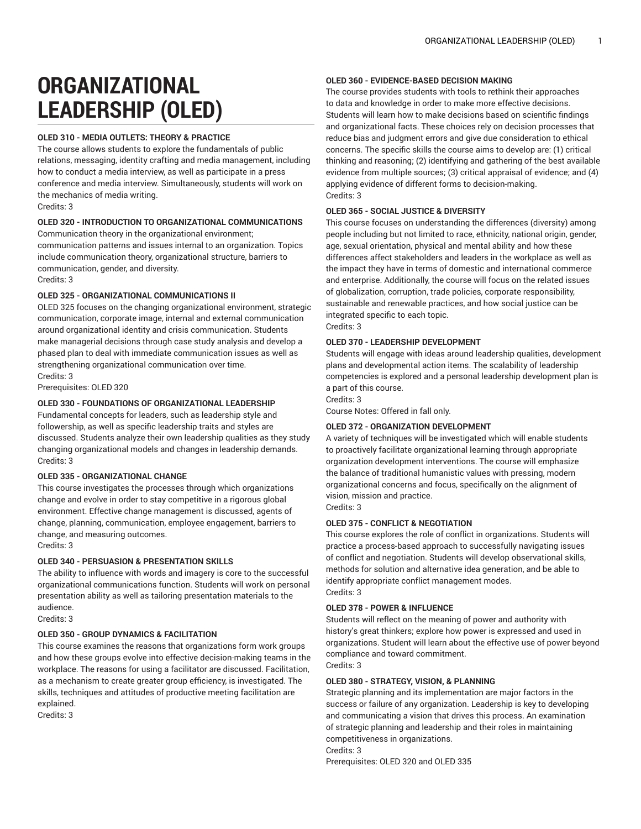# **ORGANIZATIONAL LEADERSHIP (OLED)**

# **OLED 310 - MEDIA OUTLETS: THEORY & PRACTICE**

The course allows students to explore the fundamentals of public relations, messaging, identity crafting and media management, including how to conduct a media interview, as well as participate in a press conference and media interview. Simultaneously, students will work on the mechanics of media writing. Credits: 3

#### **OLED 320 - INTRODUCTION TO ORGANIZATIONAL COMMUNICATIONS**

Communication theory in the organizational environment; communication patterns and issues internal to an organization. Topics include communication theory, organizational structure, barriers to communication, gender, and diversity.

# Credits: 3

#### **OLED 325 - ORGANIZATIONAL COMMUNICATIONS II**

OLED 325 focuses on the changing organizational environment, strategic communication, corporate image, internal and external communication around organizational identity and crisis communication. Students make managerial decisions through case study analysis and develop a phased plan to deal with immediate communication issues as well as strengthening organizational communication over time. Credits: 3

Prerequisites: OLED 320

# **OLED 330 - FOUNDATIONS OF ORGANIZATIONAL LEADERSHIP**

Fundamental concepts for leaders, such as leadership style and followership, as well as specific leadership traits and styles are discussed. Students analyze their own leadership qualities as they study changing organizational models and changes in leadership demands. Credits: 3

# **OLED 335 - ORGANIZATIONAL CHANGE**

This course investigates the processes through which organizations change and evolve in order to stay competitive in a rigorous global environment. Effective change management is discussed, agents of change, planning, communication, employee engagement, barriers to change, and measuring outcomes.

Credits: 3

#### **OLED 340 - PERSUASION & PRESENTATION SKILLS**

The ability to influence with words and imagery is core to the successful organizational communications function. Students will work on personal presentation ability as well as tailoring presentation materials to the audience.

Credits: 3

#### **OLED 350 - GROUP DYNAMICS & FACILITATION**

This course examines the reasons that organizations form work groups and how these groups evolve into effective decision-making teams in the workplace. The reasons for using a facilitator are discussed. Facilitation, as a mechanism to create greater group efficiency, is investigated. The skills, techniques and attitudes of productive meeting facilitation are explained.

Credits: 3

#### **OLED 360 - EVIDENCE-BASED DECISION MAKING**

The course provides students with tools to rethink their approaches to data and knowledge in order to make more effective decisions. Students will learn how to make decisions based on scientific findings and organizational facts. These choices rely on decision processes that reduce bias and judgment errors and give due consideration to ethical concerns. The specific skills the course aims to develop are: (1) critical thinking and reasoning; (2) identifying and gathering of the best available evidence from multiple sources; (3) critical appraisal of evidence; and (4) applying evidence of different forms to decision-making. Credits: 3

### **OLED 365 - SOCIAL JUSTICE & DIVERSITY**

This course focuses on understanding the differences (diversity) among people including but not limited to race, ethnicity, national origin, gender, age, sexual orientation, physical and mental ability and how these differences affect stakeholders and leaders in the workplace as well as the impact they have in terms of domestic and international commerce and enterprise. Additionally, the course will focus on the related issues of globalization, corruption, trade policies, corporate responsibility, sustainable and renewable practices, and how social justice can be integrated specific to each topic. Credits: 3

#### **OLED 370 - LEADERSHIP DEVELOPMENT**

Students will engage with ideas around leadership qualities, development plans and developmental action items. The scalability of leadership competencies is explored and a personal leadership development plan is a part of this course.

Credits: 3

Course Notes: Offered in fall only.

#### **OLED 372 - ORGANIZATION DEVELOPMENT**

A variety of techniques will be investigated which will enable students to proactively facilitate organizational learning through appropriate organization development interventions. The course will emphasize the balance of traditional humanistic values with pressing, modern organizational concerns and focus, specifically on the alignment of vision, mission and practice. Credits: 3

# **OLED 375 - CONFLICT & NEGOTIATION**

This course explores the role of conflict in organizations. Students will practice a process-based approach to successfully navigating issues of conflict and negotiation. Students will develop observational skills, methods for solution and alternative idea generation, and be able to identify appropriate conflict management modes. Credits: 3

#### **OLED 378 - POWER & INFLUENCE**

Students will reflect on the meaning of power and authority with history's great thinkers; explore how power is expressed and used in organizations. Student will learn about the effective use of power beyond compliance and toward commitment.

Credits: 3

Credits: 3

#### **OLED 380 - STRATEGY, VISION, & PLANNING**

Strategic planning and its implementation are major factors in the success or failure of any organization. Leadership is key to developing and communicating a vision that drives this process. An examination of strategic planning and leadership and their roles in maintaining competitiveness in organizations.

Prerequisites: OLED 320 and OLED 335